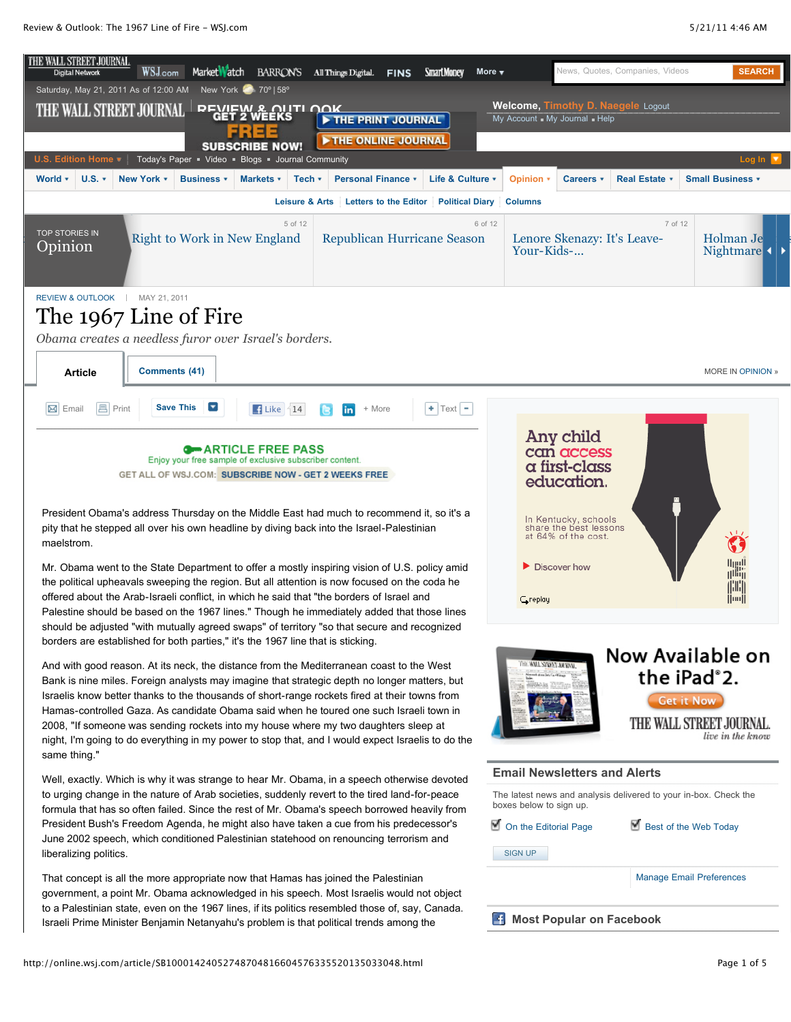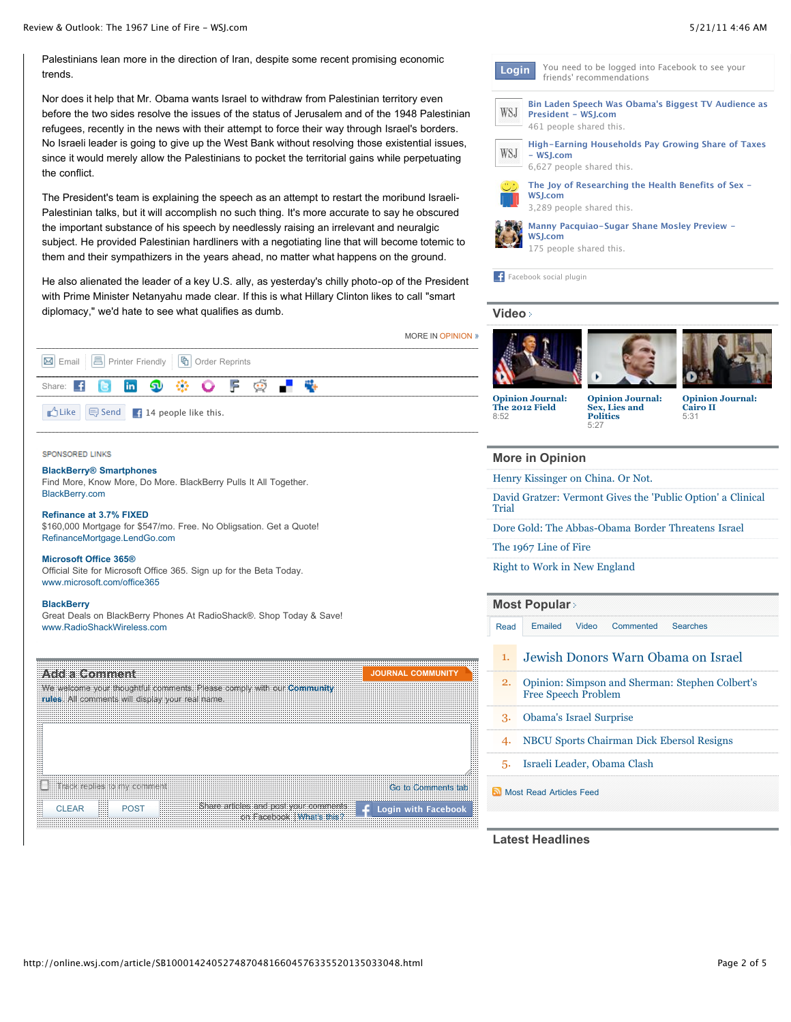Palestinians lean more in the direction of Iran, despite some recent promising economic trends.

Nor does it help that Mr. Obama wants Israel to withdraw from Palestinian territory even before the two sides resolve the issues of the status of Jerusalem and of the 1948 Palestinian refugees, recently in the news with their attempt to force their way through Israel's borders. No Israeli leader is going to give up the West Bank without resolving those existential issues, since it would merely allow the Palestinians to pocket the territorial gains while perpetuating the conflict.

The President's team is explaining the speech as an attempt to restart the moribund Israeli-Palestinian talks, but it will accomplish no such thing. It's more accurate to say he obscured the important substance of his speech by needlessly raising an irrelevant and neuralgic subject. He provided Palestinian hardliners with a negotiating line that will become totemic to them and their sympathizers in the years ahead, no matter what happens on the ground.

He also alienated the leader of a key U.S. ally, as yesterday's chilly photo-op of the President with Prime Minister Netanyahu made clear. If this is what Hillary Clinton likes to call "smart diplomacy," we'd hate to see what qualifies as dumb.



### SPONSORED LINKS

## **[BlackBerry® Smartphones](http://801538.r.msn.com/?ld=4vbNjByXNGNTbS3rBvuHy6g02ipnlPCCST8Xz-NDFYfWWUsoO0lmnSqm5FBXb0WTB_OxSW18zHGOV8QOCSPmHURfhtjxcxPtVHnDHDi6Q6huphfxHYN0vAE5_cCq69EWbblGr0PTzsgJ8wCuWnRRTVT5HJ23iZT1MLv8wlQr5j4oDSlyhJk_GiJCMsjaWBdU96D_eRU1yvTBr_AfRvYhFrjvvGCKuH8jYalFwDh898rvqVbzEfuJZae0TNKTcYvcN8Vcn2BcGBhFV83MeEe6ppTMZjPAmYKLxfeiRCYz2a-sSXYSVQehBsnqsxOww5JWHeoL2SprPpIXnS7-ONzGY-_VDZd7RojW2Qw3WzA48KWYNkbb8xlX3jQwk8FpONF9Iuh0jnxjr0PzSSRvjFx5my46HzHuT8iBDaU62gJxHnYe1gntq2z3xB-NtkHoNRMu70KtdNW1_jXOxHRFPg6fiBNU3_J1eJb_duLi-jYMWNIqw1VAlMDtNWvLDemk1fryhVIuajMhAmY3M9OVcjZWDkYaYQCyF_ERx8D3GgKxI97ZsPwe13YLiwDdA)**

[Find More, Know More, Do More. BlackBerry Pulls It All Together.](http://801538.r.msn.com/?ld=4vbNjByXNGNTbS3rBvuHy6g02ipnlPCCST8Xz-NDFYfWWUsoO0lmnSqm5FBXb0WTB_OxSW18zHGOV8QOCSPmHURfhtjxcxPtVHnDHDi6Q6huphfxHYN0vAE5_cCq69EWbblGr0PTzsgJ8wCuWnRRTVT5HJ23iZT1MLv8wlQr5j4oDSlyhJk_GiJCMsjaWBdU96D_eRU1yvTBr_AfRvYhFrjvvGCKuH8jYalFwDh898rvqVbzEfuJZae0TNKTcYvcN8Vcn2BcGBhFV83MeEe6ppTMZjPAmYKLxfeiRCYz2a-sSXYSVQehBsnqsxOww5JWHeoL2SprPpIXnS7-ONzGY-_VDZd7RojW2Qw3WzA48KWYNkbb8xlX3jQwk8FpONF9Iuh0jnxjr0PzSSRvjFx5my46HzHuT8iBDaU62gJxHnYe1gntq2z3xB-NtkHoNRMu70KtdNW1_jXOxHRFPg6fiBNU3_J1eJb_duLi-jYMWNIqw1VAlMDtNWvLDemk1fryhVIuajMhAmY3M9OVcjZWDkYaYQCyF_ERx8D3GgKxI97ZsPwe13YLiwDdA) [BlackBerry.com](http://801538.r.msn.com/?ld=4vbNjByXNGNTbS3rBvuHy6g02ipnlPCCST8Xz-NDFYfWWUsoO0lmnSqm5FBXb0WTB_OxSW18zHGOV8QOCSPmHURfhtjxcxPtVHnDHDi6Q6huphfxHYN0vAE5_cCq69EWbblGr0PTzsgJ8wCuWnRRTVT5HJ23iZT1MLv8wlQr5j4oDSlyhJk_GiJCMsjaWBdU96D_eRU1yvTBr_AfRvYhFrjvvGCKuH8jYalFwDh898rvqVbzEfuJZae0TNKTcYvcN8Vcn2BcGBhFV83MeEe6ppTMZjPAmYKLxfeiRCYz2a-sSXYSVQehBsnqsxOww5JWHeoL2SprPpIXnS7-ONzGY-_VDZd7RojW2Qw3WzA48KWYNkbb8xlX3jQwk8FpONF9Iuh0jnxjr0PzSSRvjFx5my46HzHuT8iBDaU62gJxHnYe1gntq2z3xB-NtkHoNRMu70KtdNW1_jXOxHRFPg6fiBNU3_J1eJb_duLi-jYMWNIqw1VAlMDtNWvLDemk1fryhVIuajMhAmY3M9OVcjZWDkYaYQCyF_ERx8D3GgKxI97ZsPwe13YLiwDdA)

#### **[Refinance at 3.7% FIXED](http://0.r.msn.com/?ld=4vEsSl25BVdneS76Uot8VvezHkImu1B_6AUQOoKxut7bgZWn48EJdu_1GseEAk_pEZOql1hGP8cC3UU7PLRgKF6obAFaGe8KzxVIYfDmBG0CGqz9bZmNMrliIKtRkAf4PSK3frVREkpNEf8DL6NQ_Bda9dCbtxIKKc_4Hc7R7awSrItZNyLxERnd_-BJNAucSnTO3cICs0bjVXR5uBtjQ6WWZUo_oxg7NMh9FDtmtp37BLR2AYQGRgdDGEsVJBxWBAK6IFFdaR3BNUmUpSU3dRxVwixv1KZI5dQCtlR_WrTg05C2u-Kx1-yZb5ZLt68D8zSyjRVRCwWRVZTxxjJgZGHFcEhnGJ5EXZ-C-MTFqoY0Q1VAlMJMgNrMIxnxD3U73QK3bVQhAmY3M9TQNJ87cN-FRe0Qf0ZOf2-TDw4PAp0y62n7YOuLw7_lc)**

[\\$160,000 Mortgage for \\$547/mo. Free. No Obligsation. Get a Quote!](http://0.r.msn.com/?ld=4vEsSl25BVdneS76Uot8VvezHkImu1B_6AUQOoKxut7bgZWn48EJdu_1GseEAk_pEZOql1hGP8cC3UU7PLRgKF6obAFaGe8KzxVIYfDmBG0CGqz9bZmNMrliIKtRkAf4PSK3frVREkpNEf8DL6NQ_Bda9dCbtxIKKc_4Hc7R7awSrItZNyLxERnd_-BJNAucSnTO3cICs0bjVXR5uBtjQ6WWZUo_oxg7NMh9FDtmtp37BLR2AYQGRgdDGEsVJBxWBAK6IFFdaR3BNUmUpSU3dRxVwixv1KZI5dQCtlR_WrTg05C2u-Kx1-yZb5ZLt68D8zSyjRVRCwWRVZTxxjJgZGHFcEhnGJ5EXZ-C-MTFqoY0Q1VAlMJMgNrMIxnxD3U73QK3bVQhAmY3M9TQNJ87cN-FRe0Qf0ZOf2-TDw4PAp0y62n7YOuLw7_lc) [RefinanceMortgage.LendGo.com](http://0.r.msn.com/?ld=4vEsSl25BVdneS76Uot8VvezHkImu1B_6AUQOoKxut7bgZWn48EJdu_1GseEAk_pEZOql1hGP8cC3UU7PLRgKF6obAFaGe8KzxVIYfDmBG0CGqz9bZmNMrliIKtRkAf4PSK3frVREkpNEf8DL6NQ_Bda9dCbtxIKKc_4Hc7R7awSrItZNyLxERnd_-BJNAucSnTO3cICs0bjVXR5uBtjQ6WWZUo_oxg7NMh9FDtmtp37BLR2AYQGRgdDGEsVJBxWBAK6IFFdaR3BNUmUpSU3dRxVwixv1KZI5dQCtlR_WrTg05C2u-Kx1-yZb5ZLt68D8zSyjRVRCwWRVZTxxjJgZGHFcEhnGJ5EXZ-C-MTFqoY0Q1VAlMJMgNrMIxnxD3U73QK3bVQhAmY3M9TQNJ87cN-FRe0Qf0ZOf2-TDw4PAp0y62n7YOuLw7_lc)

### **[Microsoft Office 365®](http://0.r.msn.com/?ld=4vrx4kn0V9_K6jLJ_hbVOpgbar_Ce0ztZbxWqPl1bxteZit6xzx3MwjsaCDuFrB8Za16KsbY-nqBIHzy3QAfaw_ibpHIisLrMpWaOmCJZOg0tF1CgRRhr7mZ-Et7aw6yn66T72uE9eAapbsATUo6G530LfuP-Byxdng8vMKgHALwEyNic3Lds7WIol0B1nsuAsYfk3HQotnkkIUPqSYzPKcG16xdP_ClRgWDw8ptbFOlwYKqC_F5q-IS581zBKdOw_55g7CWT5vzvno2c3nA7vgWGzB4hF0N2rzXC9dHEGvpnFaV2ysV2GsJsyAus6qI0bNVQJTPXJXu7SwqYamzCByJoVME4QJmNzPZ1MOHSpJVdf2BtKRFnAfAqRsMAHRyeY_7gCECphwafR)**

[Official Site for Microsoft Office 365. Sign up for the Beta Today.](http://0.r.msn.com/?ld=4vrx4kn0V9_K6jLJ_hbVOpgbar_Ce0ztZbxWqPl1bxteZit6xzx3MwjsaCDuFrB8Za16KsbY-nqBIHzy3QAfaw_ibpHIisLrMpWaOmCJZOg0tF1CgRRhr7mZ-Et7aw6yn66T72uE9eAapbsATUo6G530LfuP-Byxdng8vMKgHALwEyNic3Lds7WIol0B1nsuAsYfk3HQotnkkIUPqSYzPKcG16xdP_ClRgWDw8ptbFOlwYKqC_F5q-IS581zBKdOw_55g7CWT5vzvno2c3nA7vgWGzB4hF0N2rzXC9dHEGvpnFaV2ysV2GsJsyAus6qI0bNVQJTPXJXu7SwqYamzCByJoVME4QJmNzPZ1MOHSpJVdf2BtKRFnAfAqRsMAHRyeY_7gCECphwafR) [www.microsoft.com/office365](http://0.r.msn.com/?ld=4vrx4kn0V9_K6jLJ_hbVOpgbar_Ce0ztZbxWqPl1bxteZit6xzx3MwjsaCDuFrB8Za16KsbY-nqBIHzy3QAfaw_ibpHIisLrMpWaOmCJZOg0tF1CgRRhr7mZ-Et7aw6yn66T72uE9eAapbsATUo6G530LfuP-Byxdng8vMKgHALwEyNic3Lds7WIol0B1nsuAsYfk3HQotnkkIUPqSYzPKcG16xdP_ClRgWDw8ptbFOlwYKqC_F5q-IS581zBKdOw_55g7CWT5vzvno2c3nA7vgWGzB4hF0N2rzXC9dHEGvpnFaV2ysV2GsJsyAus6qI0bNVQJTPXJXu7SwqYamzCByJoVME4QJmNzPZ1MOHSpJVdf2BtKRFnAfAqRsMAHRyeY_7gCECphwafR)

### **[BlackBerry](http://0.r.msn.com/?ld=4vOTFYnP6cAUXR4jcMA9SW-VTMpuk3BFZrVOqulCSDxJ_yQvtlQtHu7IojsJwkvZRnNOx6uvuHoGxNAhr1qJH6YyfKnaEtSOo6ehxDAqy_lbwai5Y2hgaHthmFg1ryrRU9Irpq6_HYAkpdr0sDiG_rbNpK9YJgyRtS6ZECiLEVCLNvCDgQW_Ba5bU4s61-Ki_Zfsm6gdy_WMv-Qe7ODRCQIhUYzL0yv7nR31H5SWW1s92en2MakxDKOdSgyHVxsSt9rS3_fGve8BonZK0qXrgRCmhtA4_LVOuM5yhz9-RQpj2S-iXhVgkQHCKVPdPD79tR3e2mhAxBsup2AlEXjqI4faqWO2RXmmg3hXD9mVtJOtKT43UoHQawq0-qSb2zecr47mrGb3F_asOPKD0wJfFFkMEoqPhK_S19momP1CbZ-T5s6E1HCB0og9IXYx-UNYD9vHf-XbGmumwF5eI0tI6VVCMkNPWkF6pY1Q9vHjKkPazR4Yxh-yXSiRpBXe6GuWMicVIOCoe0cSyA0j0sUggVtNGdxEt7sDBhPebISnywZgrukKeA5IXuyu-R6TtI3ubpPBrvgpWNYlg-A4lQwr37nEK0Tl67BToKyH2T_LfRnJpq1CSZ6a1eH6ztb_YTn2dMW-S_1ybMc_p0P-i8pPsD7DVUCUxfFlGKk1c2FtQJ0396yzROECZjcz10456TpwY-FmU15DYU1ALqevdjtoPxD9PhI-7OeHF0jQ)**

[Great Deals on BlackBerry Phones At RadioShack®. Shop Today & Save!](http://0.r.msn.com/?ld=4vOTFYnP6cAUXR4jcMA9SW-VTMpuk3BFZrVOqulCSDxJ_yQvtlQtHu7IojsJwkvZRnNOx6uvuHoGxNAhr1qJH6YyfKnaEtSOo6ehxDAqy_lbwai5Y2hgaHthmFg1ryrRU9Irpq6_HYAkpdr0sDiG_rbNpK9YJgyRtS6ZECiLEVCLNvCDgQW_Ba5bU4s61-Ki_Zfsm6gdy_WMv-Qe7ODRCQIhUYzL0yv7nR31H5SWW1s92en2MakxDKOdSgyHVxsSt9rS3_fGve8BonZK0qXrgRCmhtA4_LVOuM5yhz9-RQpj2S-iXhVgkQHCKVPdPD79tR3e2mhAxBsup2AlEXjqI4faqWO2RXmmg3hXD9mVtJOtKT43UoHQawq0-qSb2zecr47mrGb3F_asOPKD0wJfFFkMEoqPhK_S19momP1CbZ-T5s6E1HCB0og9IXYx-UNYD9vHf-XbGmumwF5eI0tI6VVCMkNPWkF6pY1Q9vHjKkPazR4Yxh-yXSiRpBXe6GuWMicVIOCoe0cSyA0j0sUggVtNGdxEt7sDBhPebISnywZgrukKeA5IXuyu-R6TtI3ubpPBrvgpWNYlg-A4lQwr37nEK0Tl67BToKyH2T_LfRnJpq1CSZ6a1eH6ztb_YTn2dMW-S_1ybMc_p0P-i8pPsD7DVUCUxfFlGKk1c2FtQJ0396yzROECZjcz10456TpwY-FmU15DYU1ALqevdjtoPxD9PhI-7OeHF0jQ) [www.RadioShackWireless.com](http://0.r.msn.com/?ld=4vOTFYnP6cAUXR4jcMA9SW-VTMpuk3BFZrVOqulCSDxJ_yQvtlQtHu7IojsJwkvZRnNOx6uvuHoGxNAhr1qJH6YyfKnaEtSOo6ehxDAqy_lbwai5Y2hgaHthmFg1ryrRU9Irpq6_HYAkpdr0sDiG_rbNpK9YJgyRtS6ZECiLEVCLNvCDgQW_Ba5bU4s61-Ki_Zfsm6gdy_WMv-Qe7ODRCQIhUYzL0yv7nR31H5SWW1s92en2MakxDKOdSgyHVxsSt9rS3_fGve8BonZK0qXrgRCmhtA4_LVOuM5yhz9-RQpj2S-iXhVgkQHCKVPdPD79tR3e2mhAxBsup2AlEXjqI4faqWO2RXmmg3hXD9mVtJOtKT43UoHQawq0-qSb2zecr47mrGb3F_asOPKD0wJfFFkMEoqPhK_S19momP1CbZ-T5s6E1HCB0og9IXYx-UNYD9vHf-XbGmumwF5eI0tI6VVCMkNPWkF6pY1Q9vHjKkPazR4Yxh-yXSiRpBXe6GuWMicVIOCoe0cSyA0j0sUggVtNGdxEt7sDBhPebISnywZgrukKeA5IXuyu-R6TtI3ubpPBrvgpWNYlg-A4lQwr37nEK0Tl67BToKyH2T_LfRnJpq1CSZ6a1eH6ztb_YTn2dMW-S_1ybMc_p0P-i8pPsD7DVUCUxfFlGKk1c2FtQJ0396yzROECZjcz10456TpwY-FmU15DYU1ALqevdjtoPxD9PhI-7OeHF0jQ)

| <b>Add a Comment</b><br>rules. All comments will display your real name. | We welcome your thoughtful comments. Please comply with our <b>Community</b> | <b>JOURNAL COMMUNITY</b>   |
|--------------------------------------------------------------------------|------------------------------------------------------------------------------|----------------------------|
|                                                                          |                                                                              |                            |
| Track replies to my comment                                              |                                                                              | Go to Comments tab         |
| <b>POST</b><br><b>CLEAR</b>                                              | Share articles and post your comments<br>on Facebook   What's this?          | <b>Login with Facebook</b> |



**[Facebook social plugin](http://developers.facebook.com/plugins/?footer=2)** 

## **[Video](http://online.wsj.com/video-center/opinion.html)**







**[Opinion Journal:](http://online.wsj.com/video/opinion-journal-the-2012-field/F6716C80-7BCC-4F1E-873F-2B9F9F40319A.html?mod=WSJ_Article_Videocarousel_1) The 2012 Field** 8:52

5:27

**[Opinion Journal:](http://online.wsj.com/video/opinion-journal-sex-lies-and-politics/F914CCA5-2B62-4B73-A4B0-A018D7077990.html?mod=WSJ_Article_Videocarousel_2) Sex, Lies and Politics**

**[Opinion Journal:](http://online.wsj.com/video/opinion-journal-cairo-ii/DB8F4697-A4B3-4679-8A37-AC7696E9433F.html?mod=WSJ_Article_Videocarousel_3) Cairo II** 5:31

# **More in Opinion**

[Henry Kissinger on China. Or Not.](http://online.wsj.com/article/SB10001424052748703730804576321393783531506.html?mod=WSJ_article_MoreIn_Opinion)

[David Gratzer: Vermont Gives the 'Public Option' a Clinical](http://online.wsj.com/article/SB10001424052748703655404576293020190881258.html?mod=WSJ_article_MoreIn_Opinion) Trial

[Dore Gold: The Abbas-Obama Border Threatens Israel](http://online.wsj.com/article/SB10001424052748703421204576329373006279638.html?mod=WSJ_article_MoreIn_Opinion)

[The 1967 Line of Fire](http://online.wsj.com/article/SB10001424052748704816604576335520135033048.html?mod=WSJ_article_MoreIn_Opinion)

[Right to Work in New England](http://online.wsj.com/article/SB10001424052748703509104576329183096563712.html?mod=WSJ_article_MoreIn_Opinion)

### **[Most Popular](http://online.wsj.com/public/page/most_popular.html)**

| Read | Emailed Video Commented Searches                                                 |
|------|----------------------------------------------------------------------------------|
|      | 1. Jewish Donors Warn Obama on Israel                                            |
|      | <b>2.</b> Opinion: Simpson and Sherman: Stephen Colbert's<br>Free Speech Problem |
|      | 3. Obama's Israel Surprise                                                       |
|      | 4. NBCU Sports Chairman Dick Ebersol Resigns                                     |
|      | 5. Israeli Leader, Obama Clash                                                   |

# **Latest Headlines**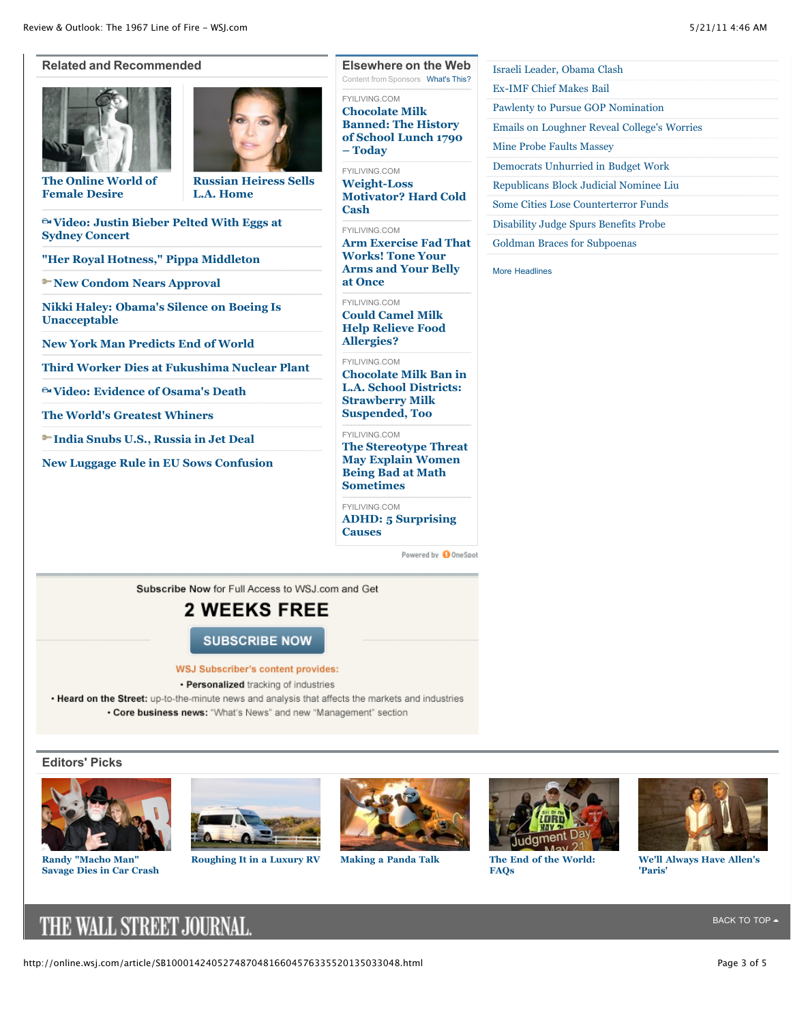# **Related and Recommended**



**[The Online World of](http://online.wsj.com/article/SB10001424052748704463804576291181510459902.html?mod=WSJ_article_onespot)**



**L.A. Home**

**Female Desire**

**[Video: Justin Bieber Pelted With Eggs at](http://online.wsj.com/video/justin-bieber-pelted-with-eggs-at-sydney-concert/6F3A892F-FC1E-41F4-BCF3-488FAD8369AB.html?mod=WSJ_article_onespot) Sydney Concert**

**["Her Royal Hotness," Pippa Middleton](http://online.wsj.com/video/her-royal-hotness-pippa-middleton/8ACA4601-99DC-4781-ADCC-514198C039D7.html?mod=WSJ_article_onespot)**

**[New Condom Nears Approval](http://online.wsj.com/article/SB10001424052748704570704576274281338693052.html?mod=WSJ_article_onespot)** 

**[Nikki Haley: Obama's Silence on Boeing Is](http://online.wsj.com/article/SB10001424052748703778104576287290266016016.html?mod=WSJ_article_onespot) Unacceptable**

**[New York Man Predicts End of World](http://online.wsj.com/video/new-york-man-predicts-end-of-world/C7760CB7-50B2-4D03-9CE0-93AD63CE5368.html?mod=WSJ_article_onespot)**

**[Third Worker Dies at Fukushima Nuclear Plant](http://online.wsj.com/video/third-worker-dies-at-fukushima-nuclear-plant/62DFEAF3-C658-4315-8769-49D1C23A7EEC.html?mod=WSJ_article_onespot)**

**[Video: Evidence of Osama's Death](http://online.wsj.com/video/evidence-of-osama-death/EB1163F2-A12B-4862-B0BB-DFE6758A17EF.html?mod=WSJ_article_onespot)**

**[The World's Greatest Whiners](http://online.wsj.com/article/SB10001424052748704569404576299314103473174.html?mod=WSJ_article_onespot)**

**[India Snubs U.S., Russia in Jet Deal](http://online.wsj.com/article/SB10001424052748704187604576290152569171440.html?mod=WSJ_article_onespot)**

**[New Luggage Rule in EU Sows Confusion](http://online.wsj.com/article/SB10001424052748704099704576289091278615156.html?mod=WSJ_article_onespot)**

Content from Sponsors [What's This?](javascript:void(0);) **Elsewhere on the Web**

[Israeli Leader, Obama Clash](http://online.wsj.com/article/SB10001424052748704904604576335071093979138.html?mod=WSJ_article_LatestHeadlines) [Ex-IMF Chief Makes Bail](http://online.wsj.com/article/SB10001424052748704083904576333531469131182.html?mod=WSJ_article_LatestHeadlines)

[Mine Probe Faults Massey](http://online.wsj.com/article/SB10001424052748704904604576333102249563620.html?mod=WSJ_article_LatestHeadlines)

[More Headlines](http://online.wsj.com/home/us)

[Pawlenty to Pursue GOP Nomination](http://online.wsj.com/article/SB10001424052748704904604576335201767357860.html?mod=WSJ_article_LatestHeadlines)

[Democrats Unhurried in Budget Work](http://online.wsj.com/article/SB10001424052748704083904576333744038895386.html?mod=WSJ_article_LatestHeadlines) [Republicans Block Judicial Nominee Liu](http://online.wsj.com/article/SB10001424052748704904604576333511794234064.html?mod=WSJ_article_LatestHeadlines) [Some Cities Lose Counterterror Funds](http://online.wsj.com/article/SB10001424052748704083904576333621009219818.html?mod=WSJ_article_LatestHeadlines) [Disability Judge Spurs Benefits Probe](http://online.wsj.com/article/SB10001424052748704816604576333682478147922.html?mod=WSJ_article_LatestHeadlines) [Goldman Braces for Subpoenas](http://online.wsj.com/article/SB10001424052748704083904576333730704803292.html?mod=WSJ_article_LatestHeadlines)

[Emails on Loughner Reveal College's Worries](http://online.wsj.com/article/SB10001424052748704904604576333982710893582.html?mod=WSJ_article_LatestHeadlines)

FYILIVING.COM **Chocolate Milk Banned: The History [of School Lunch 1790](http://fyiliving.com/diet/nutrition/chocolate-milk-banned-the-history-of-school-lunch-1790-today/) – Today**

FYILIVING.COM **Weight-Loss [Motivator? Hard Cold](http://fyiliving.com/diet/weight-loss/weight-loss-motivator-hard-cold-cash/) Cash**

FYILIVING.COM **[Arm Exercise Fad That](http://fyiliving.com/health/fitness/arm-exercise-fad-that-works-tone-your-arms-and-your-belly-at-once/) Works! Tone Your Arms and Your Belly at Once**

FYILIVING.COM **Could Camel Milk [Help Relieve Food](http://fyiliving.com/health/allergy-asthma/could-camel-milk-help-relieve-food-allergies/) Allergies?**

# FYILIVING.COM

**[Chocolate Milk Ban in](http://fyiliving.com/diet/nutrition/chocolate-milk-ban-in-l-a-school-districts-strawberry-milk-suspended-too/) L.A. School Districts: Strawberry Milk Suspended, Too**

FYILIVING.COM **[The Stereotype Threat](http://fyiliving.com/health-news/the-stereotype-threat-may-explain-women-being-bad-at-math/) May Explain Women Being Bad at Math Sometimes**

FYILIVING.COM **[ADHD: 5 Surprising](http://fyiliving.com/mental-health/adhd/adhd-5-surprising-causes/) Causes**

Powered by **O** OneSpot

Subscribe Now for Full Access to WSJ.com and Get

# **2 WEEKS FREE**

**SUBSCRIBE NOW** 

### **WSJ Subscriber's content provides:**

• Personalized tracking of industries

. Heard on the Street: up-to-the-minute news and analysis that affects the markets and industries • Core business news: "What's News" and new "Management" section

# **Editors' Picks**



**Randy "Macho Man" [Savage Dies in Car Crash](http://blogs.wsj.com/speakeasy/2011/05/20/randy-macho-man-savage-dies-in-car-crash/)**







**[Roughing It in a Luxury RV](http://online.wsj.com/article/SB10001424052748703730804576315081449166492.html?mod=WSJ_hp_editorsPicks_2) [Making a Panda Talk](http://online.wsj.com/article/SB10001424052748703421204576329392742658976.html?mod=WSJ_hp_editorsPicks_3) [The End of the World:](http://online.wsj.com/article/SB10001424052748704904604576335304069556170.html?mod=WSJ_hp_editorsPicks_4) FAQs**



**[We'll Always Have Allen's](http://online.wsj.com/article/SB10001424052748704904604576332953513849220.html?mod=WSJ_hp_editorsPicks_5) 'Paris'**

# THE WALL STREET JOURNAL.